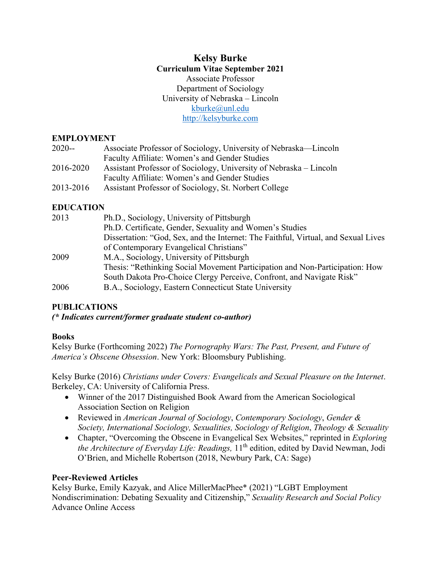## **Kelsy Burke Curriculum Vitae September 2021**  Associate Professor Department of Sociology University of Nebraska – Lincoln [kburke@unl.edu](mailto:kburke@unl.edu) [http://kelsyburke.com](http://kelsyburke.com/)

#### **EMPLOYMENT**

| $2020 -$  | Associate Professor of Sociology, University of Nebraska—Lincoln   |
|-----------|--------------------------------------------------------------------|
|           | Faculty Affiliate: Women's and Gender Studies                      |
| 2016-2020 | Assistant Professor of Sociology, University of Nebraska – Lincoln |
|           | Faculty Affiliate: Women's and Gender Studies                      |
| 2013-2016 | Assistant Professor of Sociology, St. Norbert College              |

## **EDUCATION**

| 2013 | Ph.D., Sociology, University of Pittsburgh                                         |
|------|------------------------------------------------------------------------------------|
|      | Ph.D. Certificate, Gender, Sexuality and Women's Studies                           |
|      | Dissertation: "God, Sex, and the Internet: The Faithful, Virtual, and Sexual Lives |
|      | of Contemporary Evangelical Christians"                                            |
| 2009 | M.A., Sociology, University of Pittsburgh                                          |
|      | Thesis: "Rethinking Social Movement Participation and Non-Participation: How       |
|      | South Dakota Pro-Choice Clergy Perceive, Confront, and Navigate Risk"              |
| 2006 | B.A., Sociology, Eastern Connecticut State University                              |

## **PUBLICATIONS**

*(\* Indicates current/former graduate student co-author)*

## **Books**

Kelsy Burke (Forthcoming 2022) *The Pornography Wars: The Past, Present, and Future of America's Obscene Obsession*. New York: Bloomsbury Publishing.

Kelsy Burke (2016) *Christians under Covers: Evangelicals and Sexual Pleasure on the Internet*. Berkeley, CA: University of California Press.

- Winner of the 2017 Distinguished Book Award from the American Sociological Association Section on Religion
- Reviewed in *American Journal of Sociology*, *Contemporary Sociology*, *Gender & Society, International Sociology, Sexualities, Sociology of Religion*, *Theology & Sexuality*
- Chapter, "Overcoming the Obscene in Evangelical Sex Websites," reprinted in *Exploring the Architecture of Everyday Life: Readings,* 11<sup>th</sup> edition, edited by David Newman, Jodi O'Brien, and Michelle Robertson (2018, Newbury Park, CA: Sage)

## **Peer-Reviewed Articles**

Kelsy Burke, Emily Kazyak, and Alice MillerMacPhee\* (2021) "LGBT Employment Nondiscrimination: Debating Sexuality and Citizenship," *Sexuality Research and Social Policy* Advance Online Access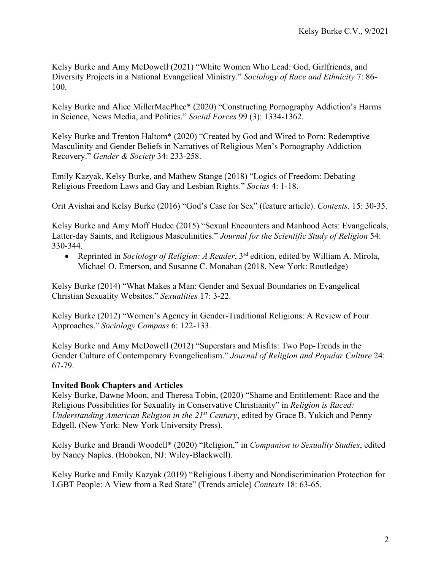Kelsy Burke and Amy McDowell (2021) "White Women Who Lead: God, Girlfriends, and Diversity Projects in a National Evangelical Ministry." *Sociology of Race and Ethnicity* 7: 86- 100.

Kelsy Burke and Alice MillerMacPhee\* (2020) "Constructing Pornography Addiction's Harms in Science, News Media, and Politics." *Social Forces* 99 (3): 1334-1362.

Kelsy Burke and Trenton Haltom\* (2020) "Created by God and Wired to Porn: Redemptive Masculinity and Gender Beliefs in Narratives of Religious Men's Pornography Addiction Recovery." *Gender & Society* 34: 233-258.

Emily Kazyak, Kelsy Burke, and Mathew Stange (2018) "Logics of Freedom: Debating Religious Freedom Laws and Gay and Lesbian Rights." *Socius* 4: 1-18.

Orit Avishai and Kelsy Burke (2016) "God's Case for Sex" (feature article). *Contexts*. 15: 30-35.

Kelsy Burke and Amy Moff Hudec (2015) "Sexual Encounters and Manhood Acts: Evangelicals, Latter-day Saints, and Religious Masculinities." *Journal for the Scientific Study of Religion* 54: 330-344.

• Reprinted in *Sociology of Religion: A Reader*, 3<sup>rd</sup> edition, edited by William A. Mirola, Michael O. Emerson, and Susanne C. Monahan (2018, New York: Routledge)

Kelsy Burke (2014) "What Makes a Man: Gender and Sexual Boundaries on Evangelical Christian Sexuality Websites." *Sexualities* 17: 3-22.

Kelsy Burke (2012) "Women's Agency in Gender-Traditional Religions: A Review of Four Approaches." *Sociology Compass* 6: 122-133.

Kelsy Burke and Amy McDowell (2012) "Superstars and Misfits: Two Pop-Trends in the Gender Culture of Contemporary Evangelicalism." *Journal of Religion and Popular Culture* 24: 67-79.

## **Invited Book Chapters and Articles**

Kelsy Burke, Dawne Moon, and Theresa Tobin, (2020) "Shame and Entitlement: Race and the Religious Possibilities for Sexuality in Conservative Christianity" in *Religion is Raced: Understanding American Religion in the 21st Century*, edited by Grace B. Yukich and Penny Edgell. (New York: New York University Press).

Kelsy Burke and Brandi Woodell\* (2020) "Religion," in *Companion to Sexuality Studies*, edited by Nancy Naples. (Hoboken, NJ: Wiley-Blackwell).

Kelsy Burke and Emily Kazyak (2019) "Religious Liberty and Nondiscrimination Protection for LGBT People: A View from a Red State" (Trends article) *Contexts* 18: 63-65.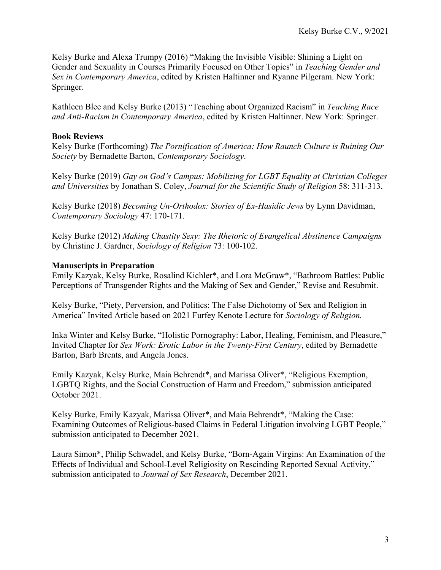Kelsy Burke and Alexa Trumpy (2016) "Making the Invisible Visible: Shining a Light on Gender and Sexuality in Courses Primarily Focused on Other Topics" in *Teaching Gender and Sex in Contemporary America*, edited by Kristen Haltinner and Ryanne Pilgeram. New York: Springer.

Kathleen Blee and Kelsy Burke (2013) "Teaching about Organized Racism" in *Teaching Race and Anti-Racism in Contemporary America*, edited by Kristen Haltinner. New York: Springer.

### **Book Reviews**

Kelsy Burke (Forthcoming) *The Pornification of America: How Raunch Culture is Ruining Our Society* by Bernadette Barton, *Contemporary Sociology*.

Kelsy Burke (2019) *Gay on God's Campus: Mobilizing for LGBT Equality at Christian Colleges and Universities* by Jonathan S. Coley, *Journal for the Scientific Study of Religion* 58: 311-313.

Kelsy Burke (2018) *Becoming Un-Orthodox: Stories of Ex-Hasidic Jews* by Lynn Davidman, *Contemporary Sociology* 47: 170-171.

Kelsy Burke (2012) *Making Chastity Sexy: The Rhetoric of Evangelical Abstinence Campaigns* by Christine J. Gardner, *Sociology of Religion* 73: 100-102.

#### **Manuscripts in Preparation**

Emily Kazyak, Kelsy Burke, Rosalind Kichler\*, and Lora McGraw\*, "Bathroom Battles: Public Perceptions of Transgender Rights and the Making of Sex and Gender," Revise and Resubmit.

Kelsy Burke, "Piety, Perversion, and Politics: The False Dichotomy of Sex and Religion in America" Invited Article based on 2021 Furfey Kenote Lecture for *Sociology of Religion.* 

Inka Winter and Kelsy Burke, "Holistic Pornography: Labor, Healing, Feminism, and Pleasure," Invited Chapter for *Sex Work: Erotic Labor in the Twenty-First Century*, edited by Bernadette Barton, Barb Brents, and Angela Jones.

Emily Kazyak, Kelsy Burke, Maia Behrendt\*, and Marissa Oliver\*, "Religious Exemption, LGBTQ Rights, and the Social Construction of Harm and Freedom," submission anticipated October 2021.

Kelsy Burke, Emily Kazyak, Marissa Oliver\*, and Maia Behrendt\*, "Making the Case: Examining Outcomes of Religious-based Claims in Federal Litigation involving LGBT People," submission anticipated to December 2021.

Laura Simon\*, Philip Schwadel, and Kelsy Burke, "Born-Again Virgins: An Examination of the Effects of Individual and School-Level Religiosity on Rescinding Reported Sexual Activity," submission anticipated to *Journal of Sex Research*, December 2021.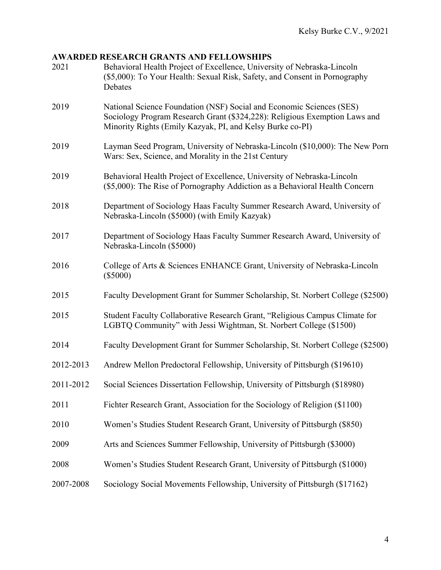# **AWARDED RESEARCH GRANTS AND FELLOWSHIPS**

| 2021      | Behavioral Health Project of Excellence, University of Nebraska-Lincoln<br>(\$5,000): To Your Health: Sexual Risk, Safety, and Consent in Pornography<br>Debates                                                |  |
|-----------|-----------------------------------------------------------------------------------------------------------------------------------------------------------------------------------------------------------------|--|
| 2019      | National Science Foundation (NSF) Social and Economic Sciences (SES)<br>Sociology Program Research Grant (\$324,228): Religious Exemption Laws and<br>Minority Rights (Emily Kazyak, PI, and Kelsy Burke co-PI) |  |
| 2019      | Layman Seed Program, University of Nebraska-Lincoln (\$10,000): The New Porn<br>Wars: Sex, Science, and Morality in the 21st Century                                                                            |  |
| 2019      | Behavioral Health Project of Excellence, University of Nebraska-Lincoln<br>(\$5,000): The Rise of Pornography Addiction as a Behavioral Health Concern                                                          |  |
| 2018      | Department of Sociology Haas Faculty Summer Research Award, University of<br>Nebraska-Lincoln (\$5000) (with Emily Kazyak)                                                                                      |  |
| 2017      | Department of Sociology Haas Faculty Summer Research Award, University of<br>Nebraska-Lincoln (\$5000)                                                                                                          |  |
| 2016      | College of Arts & Sciences ENHANCE Grant, University of Nebraska-Lincoln<br>$(\$5000)$                                                                                                                          |  |
| 2015      | Faculty Development Grant for Summer Scholarship, St. Norbert College (\$2500)                                                                                                                                  |  |
| 2015      | Student Faculty Collaborative Research Grant, "Religious Campus Climate for<br>LGBTQ Community" with Jessi Wightman, St. Norbert College (\$1500)                                                               |  |
| 2014      | Faculty Development Grant for Summer Scholarship, St. Norbert College (\$2500)                                                                                                                                  |  |
| 2012-2013 | Andrew Mellon Predoctoral Fellowship, University of Pittsburgh (\$19610)                                                                                                                                        |  |
| 2011-2012 | Social Sciences Dissertation Fellowship, University of Pittsburgh (\$18980)                                                                                                                                     |  |
| 2011      | Fichter Research Grant, Association for the Sociology of Religion (\$1100)                                                                                                                                      |  |
| 2010      | Women's Studies Student Research Grant, University of Pittsburgh (\$850)                                                                                                                                        |  |
| 2009      | Arts and Sciences Summer Fellowship, University of Pittsburgh (\$3000)                                                                                                                                          |  |
| 2008      | Women's Studies Student Research Grant, University of Pittsburgh (\$1000)                                                                                                                                       |  |
| 2007-2008 | Sociology Social Movements Fellowship, University of Pittsburgh (\$17162)                                                                                                                                       |  |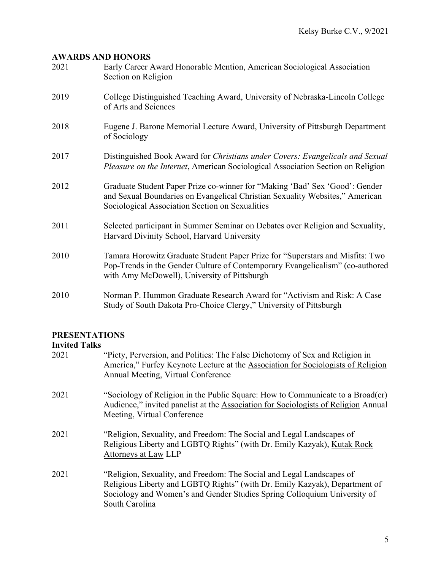## **AWARDS AND HONORS**

| 2021 | Early Career Award Honorable Mention, American Sociological Association<br>Section on Religion                                                                                                                 |
|------|----------------------------------------------------------------------------------------------------------------------------------------------------------------------------------------------------------------|
| 2019 | College Distinguished Teaching Award, University of Nebraska-Lincoln College<br>of Arts and Sciences                                                                                                           |
| 2018 | Eugene J. Barone Memorial Lecture Award, University of Pittsburgh Department<br>of Sociology                                                                                                                   |
| 2017 | Distinguished Book Award for Christians under Covers: Evangelicals and Sexual<br><i>Pleasure on the Internet, American Sociological Association Section on Religion</i>                                        |
| 2012 | Graduate Student Paper Prize co-winner for "Making 'Bad' Sex 'Good': Gender<br>and Sexual Boundaries on Evangelical Christian Sexuality Websites," American<br>Sociological Association Section on Sexualities |
| 2011 | Selected participant in Summer Seminar on Debates over Religion and Sexuality,<br>Harvard Divinity School, Harvard University                                                                                  |
| 2010 | Tamara Horowitz Graduate Student Paper Prize for "Superstars and Misfits: Two<br>Pop-Trends in the Gender Culture of Contemporary Evangelicalism" (co-authored<br>with Amy McDowell), University of Pittsburgh |
| 2010 | Norman P. Hummon Graduate Research Award for "Activism and Risk: A Case<br>Study of South Dakota Pro-Choice Clergy," University of Pittsburgh                                                                  |

# **PRESENTATIONS**

## **Invited Talks**

| 2021 | "Piety, Perversion, and Politics: The False Dichotomy of Sex and Religion in<br>America," Furfey Keynote Lecture at the Association for Sociologists of Religion<br>Annual Meeting, Virtual Conference                                            |
|------|---------------------------------------------------------------------------------------------------------------------------------------------------------------------------------------------------------------------------------------------------|
| 2021 | "Sociology of Religion in the Public Square: How to Communicate to a Broad(er)<br>Audience," invited panelist at the Association for Sociologists of Religion Annual<br>Meeting, Virtual Conference                                               |
| 2021 | "Religion, Sexuality, and Freedom: The Social and Legal Landscapes of<br>Religious Liberty and LGBTQ Rights" (with Dr. Emily Kazyak), Kutak Rock<br>Attorneys at Law LLP                                                                          |
| 2021 | "Religion, Sexuality, and Freedom: The Social and Legal Landscapes of<br>Religious Liberty and LGBTQ Rights" (with Dr. Emily Kazyak), Department of<br>Sociology and Women's and Gender Studies Spring Colloquium University of<br>South Carolina |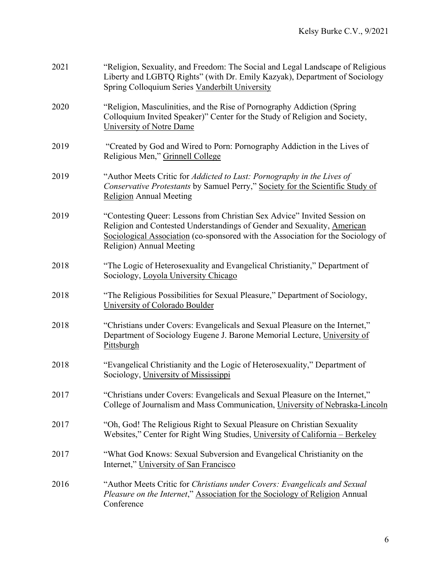| 2021 | "Religion, Sexuality, and Freedom: The Social and Legal Landscape of Religious<br>Liberty and LGBTQ Rights" (with Dr. Emily Kazyak), Department of Sociology<br>Spring Colloquium Series Vanderbilt University                                                      |
|------|---------------------------------------------------------------------------------------------------------------------------------------------------------------------------------------------------------------------------------------------------------------------|
| 2020 | "Religion, Masculinities, and the Rise of Pornography Addiction (Spring)<br>Colloquium Invited Speaker)" Center for the Study of Religion and Society,<br>University of Notre Dame                                                                                  |
| 2019 | "Created by God and Wired to Porn: Pornography Addiction in the Lives of<br>Religious Men," Grinnell College                                                                                                                                                        |
| 2019 | "Author Meets Critic for Addicted to Lust: Pornography in the Lives of<br>Conservative Protestants by Samuel Perry," Society for the Scientific Study of<br><b>Religion Annual Meeting</b>                                                                          |
| 2019 | "Contesting Queer: Lessons from Christian Sex Advice" Invited Session on<br>Religion and Contested Understandings of Gender and Sexuality, American<br>Sociological Association (co-sponsored with the Association for the Sociology of<br>Religion) Annual Meeting |
| 2018 | "The Logic of Heterosexuality and Evangelical Christianity," Department of<br>Sociology, Loyola University Chicago                                                                                                                                                  |
| 2018 | "The Religious Possibilities for Sexual Pleasure," Department of Sociology,<br>University of Colorado Boulder                                                                                                                                                       |
| 2018 | "Christians under Covers: Evangelicals and Sexual Pleasure on the Internet,"<br>Department of Sociology Eugene J. Barone Memorial Lecture, University of<br><b>Pittsburgh</b>                                                                                       |
| 2018 | "Evangelical Christianity and the Logic of Heterosexuality," Department of<br>Sociology, University of Mississippi                                                                                                                                                  |
| 2017 | "Christians under Covers: Evangelicals and Sexual Pleasure on the Internet,"<br>College of Journalism and Mass Communication, University of Nebraska-Lincoln                                                                                                        |
| 2017 | "Oh, God! The Religious Right to Sexual Pleasure on Christian Sexuality<br>Websites," Center for Right Wing Studies, University of California - Berkeley                                                                                                            |
| 2017 | "What God Knows: Sexual Subversion and Evangelical Christianity on the<br>Internet," University of San Francisco                                                                                                                                                    |
| 2016 | "Author Meets Critic for Christians under Covers: Evangelicals and Sexual<br><i>Pleasure on the Internet,</i> " Association for the Sociology of Religion Annual<br>Conference                                                                                      |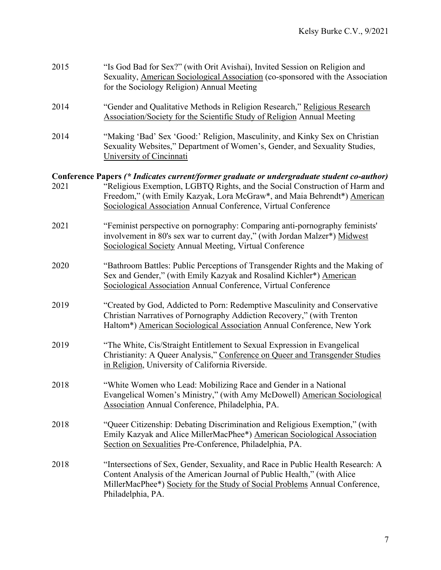| 2015 | "Is God Bad for Sex?" (with Orit Avishai), Invited Session on Religion and<br>Sexuality, American Sociological Association (co-sponsored with the Association<br>for the Sociology Religion) Annual Meeting                                                    |  |
|------|----------------------------------------------------------------------------------------------------------------------------------------------------------------------------------------------------------------------------------------------------------------|--|
| 2014 | "Gender and Qualitative Methods in Religion Research," Religious Research<br>Association/Society for the Scientific Study of Religion Annual Meeting                                                                                                           |  |
| 2014 | "Making 'Bad' Sex 'Good:' Religion, Masculinity, and Kinky Sex on Christian<br>Sexuality Websites," Department of Women's, Gender, and Sexuality Studies,<br>University of Cincinnati                                                                          |  |
|      | Conference Papers (* Indicates current/former graduate or undergraduate student co-author)                                                                                                                                                                     |  |
| 2021 | "Religious Exemption, LGBTQ Rights, and the Social Construction of Harm and<br>Freedom," (with Emily Kazyak, Lora McGraw*, and Maia Behrendt*) American<br>Sociological Association Annual Conference, Virtual Conference                                      |  |
| 2021 | "Feminist perspective on pornography: Comparing anti-pornography feminists"<br>involvement in 80's sex war to current day," (with Jordan Malzer*) Midwest<br>Sociological Society Annual Meeting, Virtual Conference                                           |  |
| 2020 | "Bathroom Battles: Public Perceptions of Transgender Rights and the Making of<br>Sex and Gender," (with Emily Kazyak and Rosalind Kichler*) American<br>Sociological Association Annual Conference, Virtual Conference                                         |  |
| 2019 | "Created by God, Addicted to Porn: Redemptive Masculinity and Conservative<br>Christian Narratives of Pornography Addiction Recovery," (with Trenton<br>Haltom*) American Sociological Association Annual Conference, New York                                 |  |
| 2019 | "The White, Cis/Straight Entitlement to Sexual Expression in Evangelical<br>Christianity: A Queer Analysis," Conference on Queer and Transgender Studies<br>in Religion, University of California Riverside.                                                   |  |
| 2018 | "White Women who Lead: Mobilizing Race and Gender in a National<br>Evangelical Women's Ministry," (with Amy McDowell) American Sociological<br>Association Annual Conference, Philadelphia, PA.                                                                |  |
| 2018 | "Queer Citizenship: Debating Discrimination and Religious Exemption," (with<br>Emily Kazyak and Alice MillerMacPhee*) American Sociological Association<br>Section on Sexualities Pre-Conference, Philadelphia, PA.                                            |  |
| 2018 | "Intersections of Sex, Gender, Sexuality, and Race in Public Health Research: A<br>Content Analysis of the American Journal of Public Health," (with Alice<br>MillerMacPhee*) Society for the Study of Social Problems Annual Conference,<br>Philadelphia, PA. |  |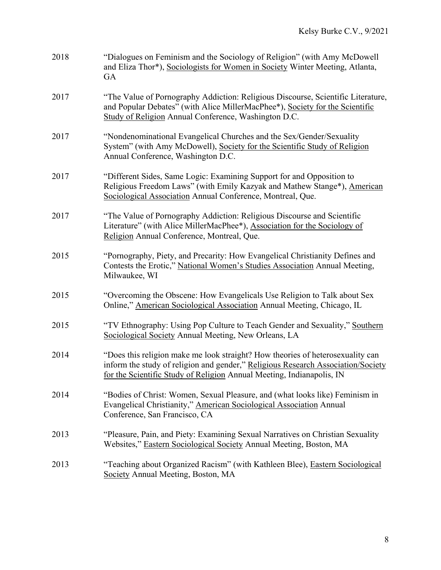| 2018 | "Dialogues on Feminism and the Sociology of Religion" (with Amy McDowell<br>and Eliza Thor*), Sociologists for Women in Society Winter Meeting, Atlanta,<br>GA                                                                              |
|------|---------------------------------------------------------------------------------------------------------------------------------------------------------------------------------------------------------------------------------------------|
| 2017 | "The Value of Pornography Addiction: Religious Discourse, Scientific Literature,<br>and Popular Debates" (with Alice MillerMacPhee*), Society for the Scientific<br>Study of Religion Annual Conference, Washington D.C.                    |
| 2017 | "Nondenominational Evangelical Churches and the Sex/Gender/Sexuality<br>System" (with Amy McDowell), Society for the Scientific Study of Religion<br>Annual Conference, Washington D.C.                                                     |
| 2017 | "Different Sides, Same Logic: Examining Support for and Opposition to<br>Religious Freedom Laws" (with Emily Kazyak and Mathew Stange*), American<br>Sociological Association Annual Conference, Montreal, Que.                             |
| 2017 | "The Value of Pornography Addiction: Religious Discourse and Scientific<br>Literature" (with Alice MillerMacPhee*), Association for the Sociology of<br>Religion Annual Conference, Montreal, Que.                                          |
| 2015 | "Pornography, Piety, and Precarity: How Evangelical Christianity Defines and<br>Contests the Erotic," National Women's Studies Association Annual Meeting,<br>Milwaukee, WI                                                                 |
| 2015 | "Overcoming the Obscene: How Evangelicals Use Religion to Talk about Sex<br>Online," American Sociological Association Annual Meeting, Chicago, IL                                                                                          |
| 2015 | "TV Ethnography: Using Pop Culture to Teach Gender and Sexuality," Southern<br>Sociological Society Annual Meeting, New Orleans, LA                                                                                                         |
| 2014 | "Does this religion make me look straight? How theories of heterosexuality can<br>inform the study of religion and gender," Religious Research Association/Society<br>for the Scientific Study of Religion Annual Meeting, Indianapolis, IN |
| 2014 | "Bodies of Christ: Women, Sexual Pleasure, and (what looks like) Feminism in<br>Evangelical Christianity," American Sociological Association Annual<br>Conference, San Francisco, CA                                                        |
| 2013 | "Pleasure, Pain, and Piety: Examining Sexual Narratives on Christian Sexuality<br>Websites," Eastern Sociological Society Annual Meeting, Boston, MA                                                                                        |
| 2013 | "Teaching about Organized Racism" (with Kathleen Blee), Eastern Sociological<br>Society Annual Meeting, Boston, MA                                                                                                                          |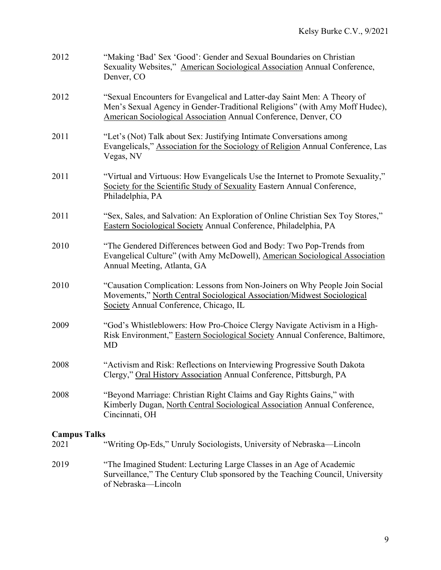| 2012                | "Making 'Bad' Sex 'Good': Gender and Sexual Boundaries on Christian<br>Sexuality Websites," American Sociological Association Annual Conference,<br>Denver, CO                                                             |  |
|---------------------|----------------------------------------------------------------------------------------------------------------------------------------------------------------------------------------------------------------------------|--|
| 2012                | "Sexual Encounters for Evangelical and Latter-day Saint Men: A Theory of<br>Men's Sexual Agency in Gender-Traditional Religions" (with Amy Moff Hudec),<br>American Sociological Association Annual Conference, Denver, CO |  |
| 2011                | "Let's (Not) Talk about Sex: Justifying Intimate Conversations among<br>Evangelicals," Association for the Sociology of Religion Annual Conference, Las<br>Vegas, NV                                                       |  |
| 2011                | "Virtual and Virtuous: How Evangelicals Use the Internet to Promote Sexuality,"<br>Society for the Scientific Study of Sexuality Eastern Annual Conference,<br>Philadelphia, PA                                            |  |
| 2011                | "Sex, Sales, and Salvation: An Exploration of Online Christian Sex Toy Stores,"<br>Eastern Sociological Society Annual Conference, Philadelphia, PA                                                                        |  |
| 2010                | "The Gendered Differences between God and Body: Two Pop-Trends from<br>Evangelical Culture" (with Amy McDowell), American Sociological Association<br>Annual Meeting, Atlanta, GA                                          |  |
| 2010                | "Causation Complication: Lessons from Non-Joiners on Why People Join Social<br>Movements," North Central Sociological Association/Midwest Sociological<br>Society Annual Conference, Chicago, IL                           |  |
| 2009                | "God's Whistleblowers: How Pro-Choice Clergy Navigate Activism in a High-<br>Risk Environment," Eastern Sociological Society Annual Conference, Baltimore,<br>MD                                                           |  |
| 2008                | "Activism and Risk: Reflections on Interviewing Progressive South Dakota<br>Clergy," Oral History Association Annual Conference, Pittsburgh, PA                                                                            |  |
| 2008                | "Beyond Marriage: Christian Right Claims and Gay Rights Gains," with<br>Kimberly Dugan, North Central Sociological Association Annual Conference,<br>Cincinnati, OH                                                        |  |
| <b>Campus Talks</b> |                                                                                                                                                                                                                            |  |
| 2021                | "Writing Op-Eds," Unruly Sociologists, University of Nebraska-Lincoln                                                                                                                                                      |  |
| 2019                | "The Imagined Student: Lecturing Large Classes in an Age of Academic<br>Surveillance," The Century Club sponsored by the Teaching Council, University<br>of Nebraska-Lincoln                                               |  |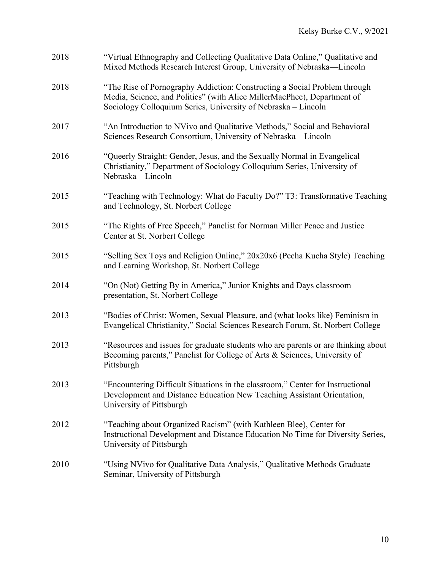| 2018 | "Virtual Ethnography and Collecting Qualitative Data Online," Qualitative and<br>Mixed Methods Research Interest Group, University of Nebraska-Lincoln                                                                |
|------|-----------------------------------------------------------------------------------------------------------------------------------------------------------------------------------------------------------------------|
| 2018 | "The Rise of Pornography Addiction: Constructing a Social Problem through<br>Media, Science, and Politics" (with Alice MillerMacPhee), Department of<br>Sociology Colloquium Series, University of Nebraska - Lincoln |
| 2017 | "An Introduction to NVivo and Qualitative Methods," Social and Behavioral<br>Sciences Research Consortium, University of Nebraska-Lincoln                                                                             |
| 2016 | "Queerly Straight: Gender, Jesus, and the Sexually Normal in Evangelical<br>Christianity," Department of Sociology Colloquium Series, University of<br>Nebraska – Lincoln                                             |
| 2015 | "Teaching with Technology: What do Faculty Do?" T3: Transformative Teaching<br>and Technology, St. Norbert College                                                                                                    |
| 2015 | "The Rights of Free Speech," Panelist for Norman Miller Peace and Justice<br>Center at St. Norbert College                                                                                                            |
| 2015 | "Selling Sex Toys and Religion Online," 20x20x6 (Pecha Kucha Style) Teaching<br>and Learning Workshop, St. Norbert College                                                                                            |
| 2014 | "On (Not) Getting By in America," Junior Knights and Days classroom<br>presentation, St. Norbert College                                                                                                              |
| 2013 | "Bodies of Christ: Women, Sexual Pleasure, and (what looks like) Feminism in<br>Evangelical Christianity," Social Sciences Research Forum, St. Norbert College                                                        |
| 2013 | "Resources and issues for graduate students who are parents or are thinking about<br>Becoming parents," Panelist for College of Arts & Sciences, University of<br>Pittsburgh                                          |
| 2013 | "Encountering Difficult Situations in the classroom," Center for Instructional<br>Development and Distance Education New Teaching Assistant Orientation,<br>University of Pittsburgh                                  |
| 2012 | "Teaching about Organized Racism" (with Kathleen Blee), Center for<br>Instructional Development and Distance Education No Time for Diversity Series,<br>University of Pittsburgh                                      |
| 2010 | "Using NVivo for Qualitative Data Analysis," Qualitative Methods Graduate<br>Seminar, University of Pittsburgh                                                                                                        |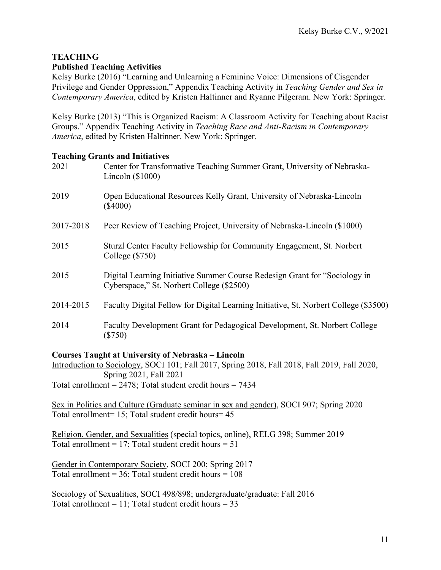#### **TEACHING Published Teaching Activities**

Kelsy Burke (2016) "Learning and Unlearning a Feminine Voice: Dimensions of Cisgender Privilege and Gender Oppression," Appendix Teaching Activity in *Teaching Gender and Sex in Contemporary America*, edited by Kristen Haltinner and Ryanne Pilgeram. New York: Springer.

Kelsy Burke (2013) "This is Organized Racism: A Classroom Activity for Teaching about Racist Groups." Appendix Teaching Activity in *Teaching Race and Anti-Racism in Contemporary America*, edited by Kristen Haltinner. New York: Springer.

## **Teaching Grants and Initiatives**

| 2021      | Center for Transformative Teaching Summer Grant, University of Nebraska-<br>Lincoln $(\$1000)$                          |  |
|-----------|-------------------------------------------------------------------------------------------------------------------------|--|
| 2019      | Open Educational Resources Kelly Grant, University of Nebraska-Lincoln<br>$(\$4000)$                                    |  |
| 2017-2018 | Peer Review of Teaching Project, University of Nebraska-Lincoln (\$1000)                                                |  |
| 2015      | Sturzl Center Faculty Fellowship for Community Engagement, St. Norbert<br>College $(\$750)$                             |  |
| 2015      | Digital Learning Initiative Summer Course Redesign Grant for "Sociology in<br>Cyberspace," St. Norbert College (\$2500) |  |
| 2014-2015 | Faculty Digital Fellow for Digital Learning Initiative, St. Norbert College (\$3500)                                    |  |
| 2014      | Faculty Development Grant for Pedagogical Development, St. Norbert College<br>$(\$750)$                                 |  |

## **Courses Taught at University of Nebraska – Lincoln**

Introduction to Sociology, SOCI 101; Fall 2017, Spring 2018, Fall 2018, Fall 2019, Fall 2020, Spring 2021, Fall 2021 Total enrollment =  $2478$ ; Total student credit hours =  $7434$ 

Sex in Politics and Culture (Graduate seminar in sex and gender), SOCI 907; Spring 2020 Total enrollment= 15; Total student credit hours= 45

Religion, Gender, and Sexualities (special topics, online), RELG 398; Summer 2019 Total enrollment = 17; Total student credit hours =  $51$ 

Gender in Contemporary Society, SOCI 200; Spring 2017 Total enrollment =  $36$ ; Total student credit hours =  $108$ 

Sociology of Sexualities, SOCI 498/898; undergraduate/graduate: Fall 2016 Total enrollment = 11; Total student credit hours =  $33$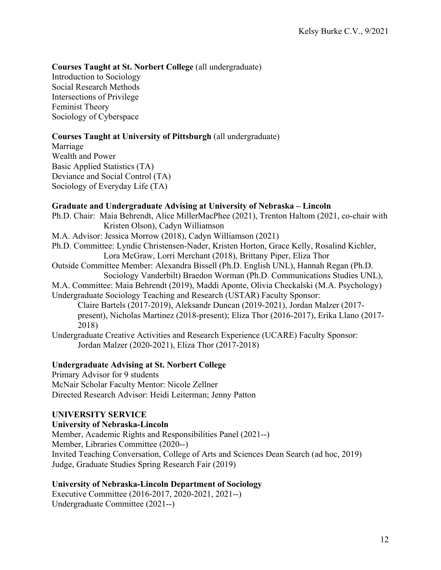## **Courses Taught at St. Norbert College** (all undergraduate)

Introduction to Sociology Social Research Methods Intersections of Privilege Feminist Theory Sociology of Cyberspace

## **Courses Taught at University of Pittsburgh** (all undergraduate)

Marriage Wealth and Power Basic Applied Statistics (TA) Deviance and Social Control (TA) Sociology of Everyday Life (TA)

#### **Graduate and Undergraduate Advising at University of Nebraska – Lincoln**

Ph.D. Chair: Maia Behrendt, Alice MillerMacPhee (2021), Trenton Haltom (2021, co-chair with Kristen Olson), Cadyn Williamson M.A. Advisor: Jessica Morrow (2018), Cadyn Williamson (2021) Ph.D. Committee: Lyndie Christensen-Nader, Kristen Horton, Grace Kelly, Rosalind Kichler, Lora McGraw, Lorri Merchant (2018), Brittany Piper, Eliza Thor Outside Committee Member: Alexandra Bissell (Ph.D. English UNL), Hannah Regan (Ph.D. Sociology Vanderbilt) Braedon Worman (Ph.D. Communications Studies UNL), M.A. Committee: Maia Behrendt (2019), Maddi Aponte, Olivia Checkalski (M.A. Psychology) Undergraduate Sociology Teaching and Research (USTAR) Faculty Sponsor: Claire Bartels (2017-2019), Aleksandr Duncan (2019-2021), Jordan Malzer (2017 present), Nicholas Martinez (2018-present); Eliza Thor (2016-2017), Erika Llano (2017- 2018) Undergraduate Creative Activities and Research Experience (UCARE) Faculty Sponsor: Jordan Malzer (2020-2021), Eliza Thor (2017-2018)

## **Undergraduate Advising at St. Norbert College**

Primary Advisor for 9 students McNair Scholar Faculty Mentor: Nicole Zellner Directed Research Advisor: Heidi Leiterman; Jenny Patton

#### **UNIVERSITY SERVICE**

#### **University of Nebraska-Lincoln**

Member, Academic Rights and Responsibilities Panel (2021--) Member, Libraries Committee (2020--) Invited Teaching Conversation, College of Arts and Sciences Dean Search (ad hoc, 2019) Judge, Graduate Studies Spring Research Fair (2019)

#### **University of Nebraska-Lincoln Department of Sociology**

Executive Committee (2016-2017, 2020-2021, 2021--) Undergraduate Committee (2021--)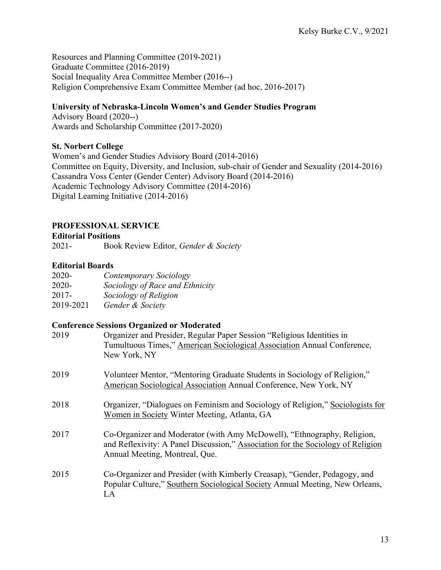Resources and Planning Committee (2019-2021) Graduate Committee (2016-2019) Social Inequality Area Committee Member (2016--) Religion Comprehensive Exam Committee Member (ad hoc, 2016-2017)

## **University of Nebraska-Lincoln Women's and Gender Studies Program**

Advisory Board (2020--) Awards and Scholarship Committee (2017-2020)

## **St. Norbert College**

Women's and Gender Studies Advisory Board (2014-2016) Committee on Equity, Diversity, and Inclusion, sub-chair of Gender and Sexuality (2014-2016) Cassandra Voss Center (Gender Center) Advisory Board (2014-2016) Academic Technology Advisory Committee (2014-2016) Digital Learning Initiative (2014-2016)

## **PROFESSIONAL SERVICE**

**Editorial Positions**

2021- Book Review Editor, *Gender & Society*

## **Editorial Boards**

| 2020-     | Contemporary Sociology          |
|-----------|---------------------------------|
| 2020-     | Sociology of Race and Ethnicity |
| $2017 -$  | Sociology of Religion           |
| 2019-2021 | Gender & Society                |

## **Conference Sessions Organized or Moderated**

| 2019 | Organizer and Presider, Regular Paper Session "Religious Identities in<br>Tumultuous Times," American Sociological Association Annual Conference,<br>New York, NY                            |
|------|----------------------------------------------------------------------------------------------------------------------------------------------------------------------------------------------|
| 2019 | Volunteer Mentor, "Mentoring Graduate Students in Sociology of Religion,"<br>American Sociological Association Annual Conference, New York, NY                                               |
| 2018 | Organizer, "Dialogues on Feminism and Sociology of Religion," Sociologists for<br>Women in Society Winter Meeting, Atlanta, GA                                                               |
| 2017 | Co-Organizer and Moderator (with Amy McDowell), "Ethnography, Religion,<br>and Reflexivity: A Panel Discussion," Association for the Sociology of Religion<br>Annual Meeting, Montreal, Que. |
| 2015 | Co-Organizer and Presider (with Kimberly Creasap), "Gender, Pedagogy, and<br>Popular Culture," Southern Sociological Society Annual Meeting, New Orleans,<br>LA                              |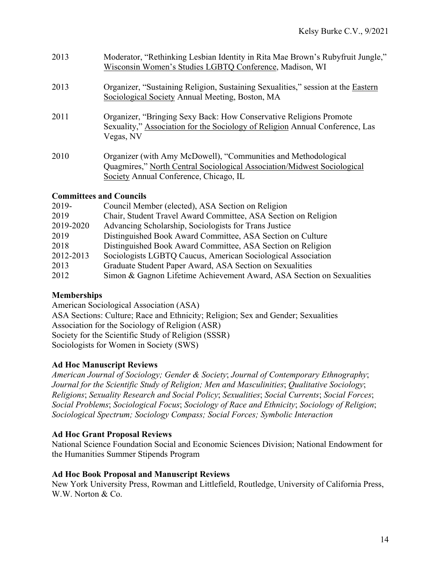| 2013 | Moderator, "Rethinking Lesbian Identity in Rita Mae Brown's Rubyfruit Jungle,"<br>Wisconsin Women's Studies LGBTQ Conference, Madison, WI                                           |
|------|-------------------------------------------------------------------------------------------------------------------------------------------------------------------------------------|
| 2013 | Organizer, "Sustaining Religion, Sustaining Sexualities," session at the Eastern<br>Sociological Society Annual Meeting, Boston, MA                                                 |
| 2011 | Organizer, "Bringing Sexy Back: How Conservative Religions Promote<br>Sexuality," Association for the Sociology of Religion Annual Conference, Las<br>Vegas, NV                     |
| 2010 | Organizer (with Amy McDowell), "Communities and Methodological<br>Quagmires," North Central Sociological Association/Midwest Sociological<br>Society Annual Conference, Chicago, IL |

## **Committees and Councils**

| 2019-     | Council Member (elected), ASA Section on Religion                     |
|-----------|-----------------------------------------------------------------------|
| 2019      | Chair, Student Travel Award Committee, ASA Section on Religion        |
| 2019-2020 | Advancing Scholarship, Sociologists for Trans Justice                 |
| 2019      | Distinguished Book Award Committee, ASA Section on Culture            |
| 2018      | Distinguished Book Award Committee, ASA Section on Religion           |
| 2012-2013 | Sociologists LGBTQ Caucus, American Sociological Association          |
| 2013      | Graduate Student Paper Award, ASA Section on Sexualities              |
| 2012      | Simon & Gagnon Lifetime Achievement Award, ASA Section on Sexualities |

## **Memberships**

American Sociological Association (ASA) ASA Sections: Culture; Race and Ethnicity; Religion; Sex and Gender; Sexualities Association for the Sociology of Religion (ASR) Society for the Scientific Study of Religion (SSSR) Sociologists for Women in Society (SWS)

## **Ad Hoc Manuscript Reviews**

*American Journal of Sociology; Gender & Society*; *Journal of Contemporary Ethnography*; *Journal for the Scientific Study of Religion; Men and Masculinities*; *Qualitative Sociology*; *Religions*; *Sexuality Research and Social Policy*; *Sexualities*; *Social Currents*; *Social Forces*; *Social Problems*; *Sociological Focus*; *Sociology of Race and Ethnicity*; *Sociology of Religion*; *Sociological Spectrum; Sociology Compass; Social Forces; Symbolic Interaction*

## **Ad Hoc Grant Proposal Reviews**

National Science Foundation Social and Economic Sciences Division; National Endowment for the Humanities Summer Stipends Program

## **Ad Hoc Book Proposal and Manuscript Reviews**

New York University Press, Rowman and Littlefield, Routledge, University of California Press, W.W. Norton & Co.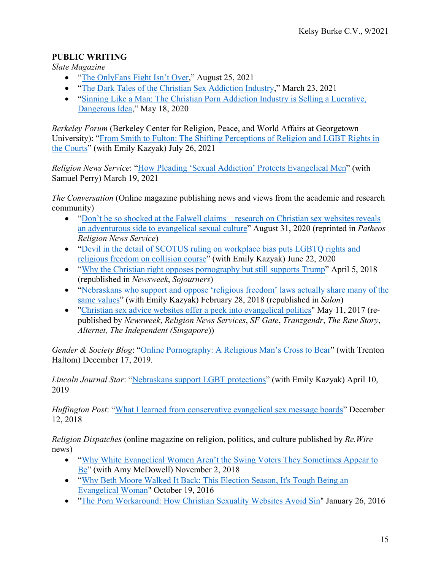## **PUBLIC WRITING**

*Slate Magazine*

- ["The OnlyFans Fight Isn't Over,](https://slate.com/human-interest/2021/08/conservative-christians-anti-porn-tactics-paying-off.html)" August 25, 2021
- ["The Dark Tales of the Christian Sex Addiction Industry,](https://slate.com/human-interest/2021/03/sex-addiction-fact-check-atlanta-shooting-history.html)" March 23, 2021
- ["Sinning Like a Man: The Christian Porn Addiction Industry is Selling a Lucrative,](https://slate.com/human-interest/2020/05/men-quitting-masturbation-nofap-dangers.html)  [Dangerous Idea,](https://slate.com/human-interest/2020/05/men-quitting-masturbation-nofap-dangers.html)" May 18, 2020

*Berkeley Forum* (Berkeley Center for Religion, Peace, and World Affairs at Georgetown University): ["From Smith to Fulton: The Shifting Perceptions of Religion and LGBT Rights in](https://berkleycenter.georgetown.edu/responses/from-smith-to-fulton-the-shifting-perceptions-of-religion-and-lgbtq-rights-in-the-courts)  [the Courts"](https://berkleycenter.georgetown.edu/responses/from-smith-to-fulton-the-shifting-perceptions-of-religion-and-lgbtq-rights-in-the-courts) (with Emily Kazyak) July 26, 2021

*Religion News Service*: ["How Pleading 'Sexual Addiction' Protects Evangelical Men"](https://religionnews.com/2021/03/19/how-pleading-sexual-addiction-protects-men-evangelical-men-robert-aaron-long-atlanta-shooting/) (with Samuel Perry) March 19, 2021

*The Conversation* (Online magazine publishing news and views from the academic and research community)

- "Don't be so shocked at the Falwell claims—research on Christian sex websites reveals [an adventurous side to evangelical sexual culture"](https://theconversation.com/dont-be-so-shocked-at-the-falwell-claims-research-on-christian-sex-websites-reveals-an-adventurous-side-to-evangelical-sexual-culture-145077) August 31, 2020 (reprinted in *Patheos Religion News Service*)
- "Devil in the detail of SCOTUS ruling on workplace bias puts LGBTQ rights and [religious freedom on collision course"](https://theconversation.com/devil-in-the-detail-of-scotus-ruling-on-workplace-bias-puts-lgbtq-rights-and-religious-freedom-on-collision-course-141094) (with Emily Kazyak) June 22, 2020
- ["Why the Christian right opposes pornography but still supports Trump"](https://theconversation.com/why-the-christian-right-opposes-pornography-but-still-supports-trump-94156) April 5, 2018 (republished in *Newsweek*, *Sojourners*)
- "Nebraskans who support and oppose 'religious freedom' laws actually share many of the [same values"](https://theconversation.com/nebraskans-who-support-and-oppose-religious-freedom-laws-actually-share-many-of-the-same-values-90888) (with Emily Kazyak) February 28, 2018 (republished in *Salon*)
- ["Christian sex advice websites offer a peek into evangelical politics"](https://theconversation.com/christian-sex-advice-websites-offer-a-peek-into-evangelical-politics-77371) May 11, 2017 (republished by *Newsweek*, *Religion News Services*, *SF Gate*, *Tranzgendr*, *The Raw Story*, *Alternet, The Independent (Singapore*))

*Gender & Society Blog*: ["Online Pornography: A Religious Man's Cross to Bear"](https://gendersociety.wordpress.com/2019/12/17/online-pornography-a-religious-mans-cross-to-bear/) (with Trenton Haltom) December 17, 2019.

*Lincoln Journal Star*: ["Nebraskans support LGBT protections"](https://journalstar.com/opinion/columnists/local-view-nebraskans-support-lgbt-protections/article_8ad840f1-534a-59a3-b092-3f2c041b4042.html) (with Emily Kazyak) April 10, 2019

*Huffington Post*: ["What I learned from conservative evangelical sex message boards"](https://www.huffingtonpost.com/entry/opinion-evangelicals-christian-sex-website-lgbtq-advice_us_5c102db7e4b0ac537179acd1) December 12, 2018

*Religion Dispatches* (online magazine on religion, politics, and culture published by *Re.Wire* news)

- "Why White Evangelical Women Aren't the Swing Voters They Sometimes Appear to [Be"](https://rewire.news/religion-dispatches/2018/11/02/why-white-evangelical-women-arent-the-swing-voters-they-sometimes-appear-to-be/) (with Amy McDowell) November 2, 2018
- ["Why Beth Moore Walked It Back: This Election Season, It's Tough Being an](http://religiondispatches.org/why-beth-moore-walked-it-back-this-election-season-its-tough-being-an-evangelical-woman/)  [Evangelical Woman"](http://religiondispatches.org/why-beth-moore-walked-it-back-this-election-season-its-tough-being-an-evangelical-woman/) October 19, 2016
- ["The Porn Workaround: How Christian Sexuality Websites Avoid Sin"](http://religiondispatches.org/the-porn-workaround-how-christian-sexuality-websites-avoid-sin/) January 26, 2016